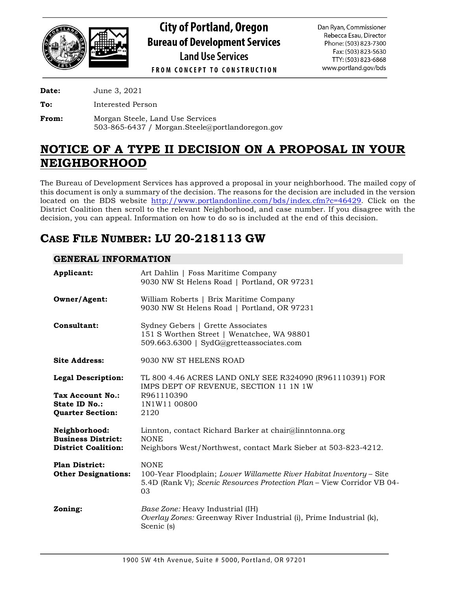

# **City of Portland, Oregon Bureau of Development Services Land Use Services**

**FROM CONCEPT TO CONSTRUCTION** 

**Date:** June 3, 2021

**To:** Interested Person

**From:** Morgan Steele, Land Use Services 503-865-6437 / Morgan.Steele@portlandoregon.gov

# **NOTICE OF A TYPE II DECISION ON A PROPOSAL IN YOUR NEIGHBORHOOD**

The Bureau of Development Services has approved a proposal in your neighborhood. The mailed copy of this document is only a summary of the decision. The reasons for the decision are included in the version located on the BDS website [http://www.portlandonline.com/bds/index.cfm?c=46429.](http://www.portlandonline.com/bds/index.cfm?c=46429) Click on the District Coalition then scroll to the relevant Neighborhood, and case number. If you disagree with the decision, you can appeal. Information on how to do so is included at the end of this decision.

# **CASE FILE NUMBER: LU 20-218113 GW**

## **GENERAL INFORMATION**

| Applicant:                                                               | Art Dahlin   Foss Maritime Company<br>9030 NW St Helens Road   Portland, OR 97231                                                                                   |
|--------------------------------------------------------------------------|---------------------------------------------------------------------------------------------------------------------------------------------------------------------|
| Owner/Agent:                                                             | William Roberts   Brix Maritime Company<br>9030 NW St Helens Road   Portland, OR 97231                                                                              |
| Consultant:                                                              | Sydney Gebers   Grette Associates<br>151 S Worthen Street   Wenatchee, WA 98801<br>509.663.6300   SydG@gretteassociates.com                                         |
| <b>Site Address:</b>                                                     | 9030 NW ST HELENS ROAD                                                                                                                                              |
| <b>Legal Description:</b>                                                | TL 800 4.46 ACRES LAND ONLY SEE R324090 (R961110391) FOR<br>IMPS DEPT OF REVENUE, SECTION 11 1N 1W                                                                  |
| Tax Account No.:<br>State ID No.:<br><b>Quarter Section:</b>             | R961110390<br>1N1W11 00800<br>2120                                                                                                                                  |
| Neighborhood:<br><b>Business District:</b><br><b>District Coalition:</b> | Linnton, contact Richard Barker at chair@linntonna.org<br><b>NONE</b><br>Neighbors West/Northwest, contact Mark Sieber at 503-823-4212.                             |
| <b>Plan District:</b><br><b>Other Designations:</b>                      | <b>NONE</b><br>100-Year Floodplain; Lower Willamette River Habitat Inventory - Site<br>5.4D (Rank V); Scenic Resources Protection Plan - View Corridor VB 04-<br>03 |
| Zoning:                                                                  | Base Zone: Heavy Industrial (IH)<br>Overlay Zones: Greenway River Industrial (i), Prime Industrial (k),<br>Scenic (s)                                               |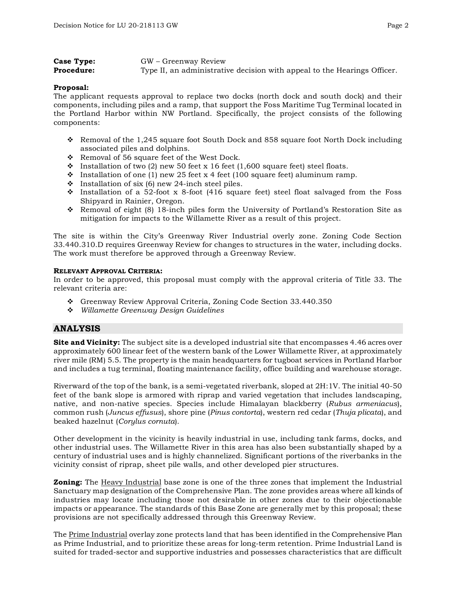| Case Type:        | GW – Greenway Review                                                     |
|-------------------|--------------------------------------------------------------------------|
| <b>Procedure:</b> | Type II, an administrative decision with appeal to the Hearings Officer. |

#### **Proposal:**

The applicant requests approval to replace two docks (north dock and south dock) and their components, including piles and a ramp, that support the Foss Maritime Tug Terminal located in the Portland Harbor within NW Portland. Specifically, the project consists of the following components:

- Removal of the 1,245 square foot South Dock and 858 square foot North Dock including associated piles and dolphins.
- \* Removal of 56 square feet of the West Dock.
- Installation of two (2) new 50 feet x 16 feet (1,600 square feet) steel floats.
- Installation of one (1) new 25 feet x 4 feet (100 square feet) aluminum ramp.
- $\cdot$  Installation of six (6) new 24-inch steel piles.
- $\cdot$  Installation of a 52-foot x 8-foot (416 square feet) steel float salvaged from the Foss Shipyard in Rainier, Oregon.
- Removal of eight (8) 18-inch piles form the University of Portland's Restoration Site as mitigation for impacts to the Willamette River as a result of this project.

The site is within the City's Greenway River Industrial overly zone. Zoning Code Section 33.440.310.D requires Greenway Review for changes to structures in the water, including docks. The work must therefore be approved through a Greenway Review.

#### **RELEVANT APPROVAL CRITERIA:**

In order to be approved, this proposal must comply with the approval criteria of Title 33. The relevant criteria are:

- Greenway Review Approval Criteria, Zoning Code Section 33.440.350
- *Willamette Greenway Design Guidelines*

## **ANALYSIS**

**Site and Vicinity:** The subject site is a developed industrial site that encompasses 4.46 acres over approximately 600 linear feet of the western bank of the Lower Willamette River, at approximately river mile (RM) 5.5. The property is the main headquarters for tugboat services in Portland Harbor and includes a tug terminal, floating maintenance facility, office building and warehouse storage.

Riverward of the top of the bank, is a semi-vegetated riverbank, sloped at 2H:1V. The initial 40-50 feet of the bank slope is armored with riprap and varied vegetation that includes landscaping, native, and non-native species. Species include Himalayan blackberry (*Rubus armeniacus*), common rush (*Juncus effusus*), shore pine (*Pinus contorta*), western red cedar (*Thuja plicata*), and beaked hazelnut (*Corylus cornuta*).

Other development in the vicinity is heavily industrial in use, including tank farms, docks, and other industrial uses. The Willamette River in this area has also been substantially shaped by a century of industrial uses and is highly channelized. Significant portions of the riverbanks in the vicinity consist of riprap, sheet pile walls, and other developed pier structures.

**Zoning:** The Heavy Industrial base zone is one of the three zones that implement the Industrial Sanctuary map designation of the Comprehensive Plan. The zone provides areas where all kinds of industries may locate including those not desirable in other zones due to their objectionable impacts or appearance. The standards of this Base Zone are generally met by this proposal; these provisions are not specifically addressed through this Greenway Review.

The Prime Industrial overlay zone protects land that has been identified in the Comprehensive Plan as Prime Industrial, and to prioritize these areas for long-term retention. Prime Industrial Land is suited for traded-sector and supportive industries and possesses characteristics that are difficult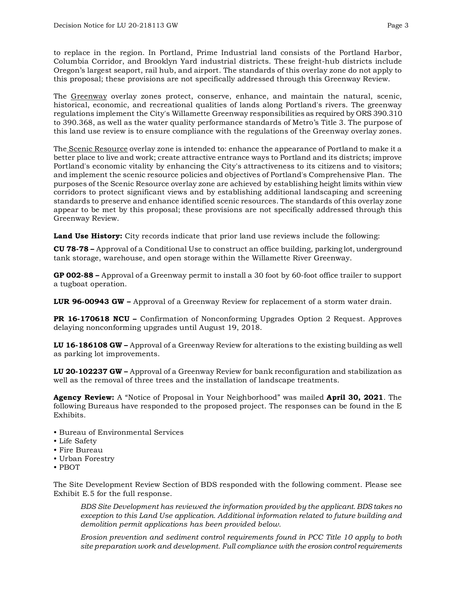to replace in the region. In Portland, Prime Industrial land consists of the Portland Harbor, Columbia Corridor, and Brooklyn Yard industrial districts. These freight-hub districts include Oregon's largest seaport, rail hub, and airport. The standards of this overlay zone do not apply to this proposal; these provisions are not specifically addressed through this Greenway Review.

The Greenway overlay zones protect, conserve, enhance, and maintain the natural, scenic, historical, economic, and recreational qualities of lands along Portland's rivers. The greenway regulations implement the City's Willamette Greenway responsibilities as required by ORS 390.310 to 390.368, as well as the water quality performance standards of Metro's Title 3. The purpose of this land use review is to ensure compliance with the regulations of the Greenway overlay zones.

The Scenic Resource overlay zone is intended to: enhance the appearance of Portland to make it a better place to live and work; create attractive entrance ways to Portland and its districts; improve Portland's economic vitality by enhancing the City's attractiveness to its citizens and to visitors; and implement the scenic resource policies and objectives of Portland's Comprehensive Plan. The purposes of the Scenic Resource overlay zone are achieved by establishing height limits within view corridors to protect significant views and by establishing additional landscaping and screening standards to preserve and enhance identified scenic resources. The standards of this overlay zone appear to be met by this proposal; these provisions are not specifically addressed through this Greenway Review.

**Land Use History:** City records indicate that prior land use reviews include the following:

**CU 78-78 –** Approval of a Conditional Use to construct an office building, parking lot, underground tank storage, warehouse, and open storage within the Willamette River Greenway.

**GP 002-88 –** Approval of a Greenway permit to install a 30 foot by 60-foot office trailer to support a tugboat operation.

**LUR 96-00943 GW –** Approval of a Greenway Review for replacement of a storm water drain.

**PR 16-170618 NCU –** Confirmation of Nonconforming Upgrades Option 2 Request. Approves delaying nonconforming upgrades until August 19, 2018.

**LU 16-186108 GW –** Approval of a Greenway Review for alterations to the existing building as well as parking lot improvements.

**LU 20-102237 GW –** Approval of a Greenway Review for bank reconfiguration and stabilization as well as the removal of three trees and the installation of landscape treatments.

**Agency Review:** A "Notice of Proposal in Your Neighborhood" was mailed **April 30, 2021**. The following Bureaus have responded to the proposed project. The responses can be found in the E Exhibits.

- Bureau of Environmental Services
- Life Safety
- Fire Bureau
- Urban Forestry
- PBOT

The Site Development Review Section of BDS responded with the following comment. Please see Exhibit E.5 for the full response.

*BDS Site Development has reviewed the information provided by the applicant. BDS takes no exception to this Land Use application. Additional information related to future building and demolition permit applications has been provided below.*

*Erosion prevention and sediment control requirements found in PCC Title 10 apply to both site preparation work and development. Full compliance with the erosion control requirements*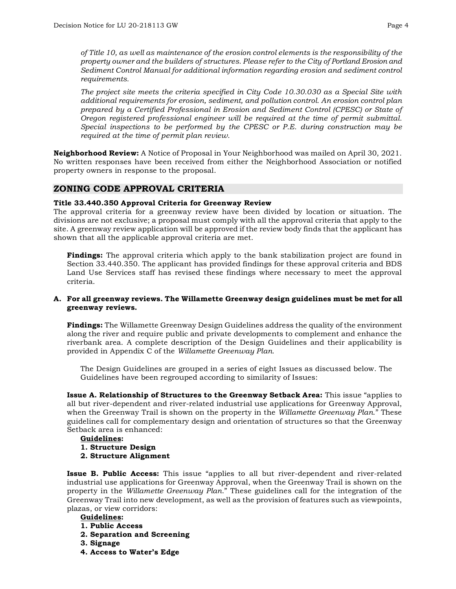*of Title 10, as well as maintenance of the erosion control elements is the responsibility of the property owner and the builders of structures. Please refer to the City of Portland Erosion and Sediment Control Manual for additional information regarding erosion and sediment control requirements.*

*The project site meets the criteria specified in City Code 10.30.030 as a Special Site with additional requirements for erosion, sediment, and pollution control. An erosion control plan prepared by a Certified Professional in Erosion and Sediment Control (CPESC) or State of Oregon registered professional engineer will be required at the time of permit submittal. Special inspections to be performed by the CPESC or P.E. during construction may be required at the time of permit plan review.*

**Neighborhood Review:** A Notice of Proposal in Your Neighborhood was mailed on April 30, 2021. No written responses have been received from either the Neighborhood Association or notified property owners in response to the proposal.

## **ZONING CODE APPROVAL CRITERIA**

#### **Title 33.440.350 Approval Criteria for Greenway Review**

The approval criteria for a greenway review have been divided by location or situation. The divisions are not exclusive; a proposal must comply with all the approval criteria that apply to the site. A greenway review application will be approved if the review body finds that the applicant has shown that all the applicable approval criteria are met.

**Findings:** The approval criteria which apply to the bank stabilization project are found in Section 33.440.350. The applicant has provided findings for these approval criteria and BDS Land Use Services staff has revised these findings where necessary to meet the approval criteria.

#### **A. For all greenway reviews. The Willamette Greenway design guidelines must be met for all greenway reviews.**

**Findings:** The Willamette Greenway Design Guidelines address the quality of the environment along the river and require public and private developments to complement and enhance the riverbank area. A complete description of the Design Guidelines and their applicability is provided in Appendix C of the *Willamette Greenway Plan*.

The Design Guidelines are grouped in a series of eight Issues as discussed below. The Guidelines have been regrouped according to similarity of Issues:

**Issue A. Relationship of Structures to the Greenway Setback Area:** This issue "applies to all but river-dependent and river-related industrial use applications for Greenway Approval, when the Greenway Trail is shown on the property in the *Willamette Greenway Plan*." These guidelines call for complementary design and orientation of structures so that the Greenway Setback area is enhanced:

- **Guidelines:**
- **1. Structure Design**
- **2. Structure Alignment**

**Issue B. Public Access:** This issue "applies to all but river-dependent and river-related industrial use applications for Greenway Approval, when the Greenway Trail is shown on the property in the *Willamette Greenway Plan*." These guidelines call for the integration of the Greenway Trail into new development, as well as the provision of features such as viewpoints, plazas, or view corridors:

#### **Guidelines:**

- **1. Public Access**
- **2. Separation and Screening**
- **3. Signage**
- **4. Access to Water's Edge**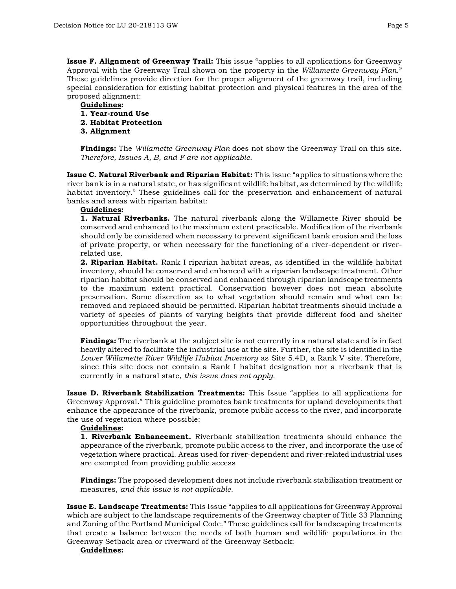**Issue F. Alignment of Greenway Trail:** This issue "applies to all applications for Greenway Approval with the Greenway Trail shown on the property in the *Willamette Greenway Plan*." These guidelines provide direction for the proper alignment of the greenway trail, including special consideration for existing habitat protection and physical features in the area of the proposed alignment:

## **Guidelines:**

- **1. Year-round Use**
- **2. Habitat Protection**
- **3. Alignment**

**Findings:** The *Willamette Greenway Plan* does not show the Greenway Trail on this site. *Therefore, Issues A, B, and F are not applicable*.

**Issue C. Natural Riverbank and Riparian Habitat:** This issue "applies to situations where the river bank is in a natural state, or has significant wildlife habitat, as determined by the wildlife habitat inventory." These guidelines call for the preservation and enhancement of natural banks and areas with riparian habitat:

#### **Guidelines:**

**1. Natural Riverbanks.** The natural riverbank along the Willamette River should be conserved and enhanced to the maximum extent practicable. Modification of the riverbank should only be considered when necessary to prevent significant bank erosion and the loss of private property, or when necessary for the functioning of a river-dependent or riverrelated use.

**2. Riparian Habitat.** Rank I riparian habitat areas, as identified in the wildlife habitat inventory, should be conserved and enhanced with a riparian landscape treatment. Other riparian habitat should be conserved and enhanced through riparian landscape treatments to the maximum extent practical. Conservation however does not mean absolute preservation. Some discretion as to what vegetation should remain and what can be removed and replaced should be permitted. Riparian habitat treatments should include a variety of species of plants of varying heights that provide different food and shelter opportunities throughout the year.

**Findings:** The riverbank at the subject site is not currently in a natural state and is in fact heavily altered to facilitate the industrial use at the site. Further, the site is identified in the *Lower Willamette River Wildlife Habitat Inventory* as Site 5.4D, a Rank V site. Therefore, since this site does not contain a Rank I habitat designation nor a riverbank that is currently in a natural state, *this issue does not apply.*

**Issue D. Riverbank Stabilization Treatments:** This Issue "applies to all applications for Greenway Approval." This guideline promotes bank treatments for upland developments that enhance the appearance of the riverbank, promote public access to the river, and incorporate the use of vegetation where possible:

#### **Guidelines:**

**1. Riverbank Enhancement.** Riverbank stabilization treatments should enhance the appearance of the riverbank, promote public access to the river, and incorporate the use of vegetation where practical. Areas used for river-dependent and river-related industrial uses are exempted from providing public access

**Findings:** The proposed development does not include riverbank stabilization treatment or measures, *and this issue is not applicable.*

**Issue E. Landscape Treatments:** This Issue "applies to all applications for Greenway Approval which are subject to the landscape requirements of the Greenway chapter of Title 33 Planning and Zoning of the Portland Municipal Code." These guidelines call for landscaping treatments that create a balance between the needs of both human and wildlife populations in the Greenway Setback area or riverward of the Greenway Setback:

#### **Guidelines:**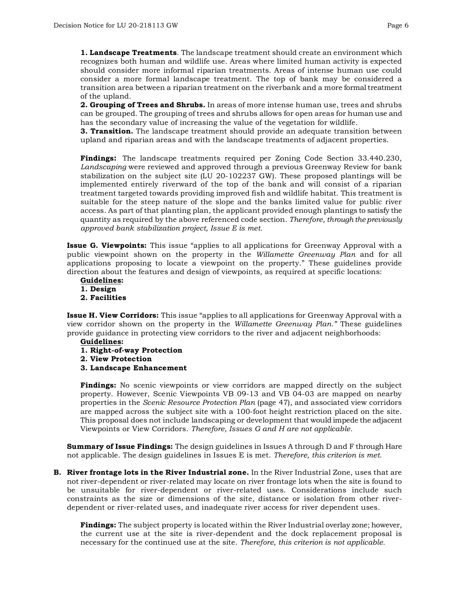**1. Landscape Treatments**. The landscape treatment should create an environment which recognizes both human and wildlife use. Areas where limited human activity is expected should consider more informal riparian treatments. Areas of intense human use could consider a more formal landscape treatment. The top of bank may be considered a transition area between a riparian treatment on the riverbank and a more formal treatment of the upland.

**2. Grouping of Trees and Shrubs.** In areas of more intense human use, trees and shrubs can be grouped. The grouping of trees and shrubs allows for open areas for human use and has the secondary value of increasing the value of the vegetation for wildlife.

**3. Transition.** The landscape treatment should provide an adequate transition between upland and riparian areas and with the landscape treatments of adjacent properties.

**Findings:** The landscape treatments required per Zoning Code Section 33.440.230, *Landscaping* were reviewed and approved through a previous Greenway Review for bank stabilization on the subject site (LU 20-102237 GW). These proposed plantings will be implemented entirely riverward of the top of the bank and will consist of a riparian treatment targeted towards providing improved fish and wildlife habitat. This treatment is suitable for the steep nature of the slope and the banks limited value for public river access. As part of that planting plan, the applicant provided enough plantings to satisfy the quantity as required by the above referenced code section. *Therefore, through the previously approved bank stabilization project, Issue E is met.*

**Issue G. Viewpoints:** This issue "applies to all applications for Greenway Approval with a public viewpoint shown on the property in the *Willamette Greenway Plan* and for all applications proposing to locate a viewpoint on the property." These guidelines provide direction about the features and design of viewpoints, as required at specific locations:

**Guidelines: 1. Design 2. Facilities**

**Issue H. View Corridors:** This issue "applies to all applications for Greenway Approval with a view corridor shown on the property in the *Willamette Greenway Plan."* These guidelines provide guidance in protecting view corridors to the river and adjacent neighborhoods:

#### **Guidelines:**

- **1. Right-of-way Protection**
- **2. View Protection**
- **3. Landscape Enhancement**

**Findings:** No scenic viewpoints or view corridors are mapped directly on the subject property. However, Scenic Viewpoints VB 09-13 and VB 04-03 are mapped on nearby properties in the *Scenic Resource Protection Plan* (page 47)*,* and associated view corridors are mapped across the subject site with a 100-foot height restriction placed on the site. This proposal does not include landscaping or development that would impede the adjacent Viewpoints or View Corridors. *Therefore, Issues G and H are not applicable.*

**Summary of Issue Findings:** The design guidelines in Issues A through D and F through Hare not applicable. The design guidelines in Issues E is met. *Therefore, this criterion is met.*

**B. River frontage lots in the River Industrial zone.** In the River Industrial Zone, uses that are not river-dependent or river-related may locate on river frontage lots when the site is found to be unsuitable for river-dependent or river-related uses. Considerations include such constraints as the size or dimensions of the site, distance or isolation from other riverdependent or river-related uses, and inadequate river access for river dependent uses.

**Findings:** The subject property is located within the River Industrial overlay zone; however, the current use at the site is river-dependent and the dock replacement proposal is necessary for the continued use at the site. *Therefore, this criterion is not applicable.*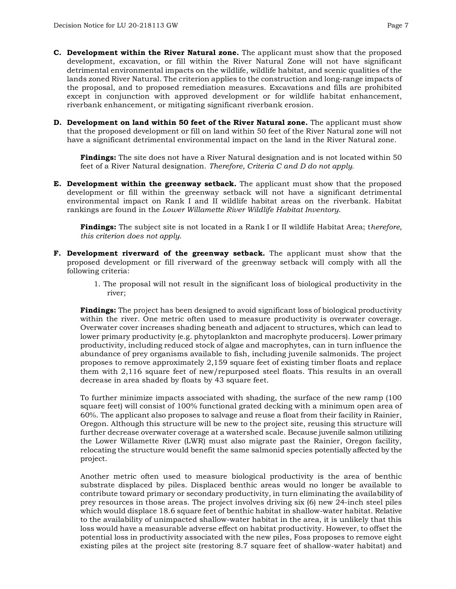- **C. Development within the River Natural zone.** The applicant must show that the proposed development, excavation, or fill within the River Natural Zone will not have significant detrimental environmental impacts on the wildlife, wildlife habitat, and scenic qualities of the lands zoned River Natural. The criterion applies to the construction and long-range impacts of the proposal, and to proposed remediation measures. Excavations and fills are prohibited except in conjunction with approved development or for wildlife habitat enhancement, riverbank enhancement, or mitigating significant riverbank erosion.
- **D. Development on land within 50 feet of the River Natural zone.** The applicant must show that the proposed development or fill on land within 50 feet of the River Natural zone will not have a significant detrimental environmental impact on the land in the River Natural zone.

**Findings:** The site does not have a River Natural designation and is not located within 50 feet of a River Natural designation. *Therefore, Criteria C and D do not apply*.

**E. Development within the greenway setback.** The applicant must show that the proposed development or fill within the greenway setback will not have a significant detrimental environmental impact on Rank I and II wildlife habitat areas on the riverbank. Habitat rankings are found in the *Lower Willamette River Wildlife Habitat Inventory*.

**Findings:** The subject site is not located in a Rank I or II wildlife Habitat Area; t*herefore, this criterion does not apply*.

- **F. Development riverward of the greenway setback.** The applicant must show that the proposed development or fill riverward of the greenway setback will comply with all the following criteria:
	- 1. The proposal will not result in the significant loss of biological productivity in the river;

**Findings:** The project has been designed to avoid significant loss of biological productivity within the river. One metric often used to measure productivity is overwater coverage. Overwater cover increases shading beneath and adjacent to structures, which can lead to lower primary productivity (e.g. phytoplankton and macrophyte producers). Lower primary productivity, including reduced stock of algae and macrophytes, can in turn influence the abundance of prey organisms available to fish, including juvenile salmonids. The project proposes to remove approximately 2,159 square feet of existing timber floats and replace them with 2,116 square feet of new/repurposed steel floats. This results in an overall decrease in area shaded by floats by 43 square feet.

To further minimize impacts associated with shading, the surface of the new ramp (100 square feet) will consist of 100% functional grated decking with a minimum open area of 60%. The applicant also proposes to salvage and reuse a float from their facility in Rainier, Oregon. Although this structure will be new to the project site, reusing this structure will further decrease overwater coverage at a watershed scale. Because juvenile salmon utilizing the Lower Willamette River (LWR) must also migrate past the Rainier, Oregon facility, relocating the structure would benefit the same salmonid species potentially affected by the project.

Another metric often used to measure biological productivity is the area of benthic substrate displaced by piles. Displaced benthic areas would no longer be available to contribute toward primary or secondary productivity, in turn eliminating the availability of prey resources in those areas. The project involves driving six (6) new 24-inch steel piles which would displace 18.6 square feet of benthic habitat in shallow-water habitat. Relative to the availability of unimpacted shallow-water habitat in the area, it is unlikely that this loss would have a measurable adverse effect on habitat productivity. However, to offset the potential loss in productivity associated with the new piles, Foss proposes to remove eight existing piles at the project site (restoring 8.7 square feet of shallow-water habitat) and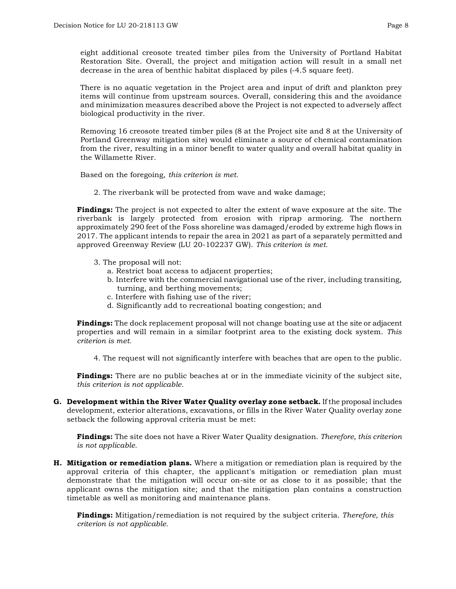eight additional creosote treated timber piles from the University of Portland Habitat Restoration Site. Overall, the project and mitigation action will result in a small net decrease in the area of benthic habitat displaced by piles (-4.5 square feet).

There is no aquatic vegetation in the Project area and input of drift and plankton prey items will continue from upstream sources. Overall, considering this and the avoidance and minimization measures described above the Project is not expected to adversely affect biological productivity in the river.

Removing 16 creosote treated timber piles (8 at the Project site and 8 at the University of Portland Greenway mitigation site) would eliminate a source of chemical contamination from the river, resulting in a minor benefit to water quality and overall habitat quality in the Willamette River.

Based on the foregoing, *this criterion is met.* 

2. The riverbank will be protected from wave and wake damage;

**Findings:** The project is not expected to alter the extent of wave exposure at the site. The riverbank is largely protected from erosion with riprap armoring. The northern approximately 290 feet of the Foss shoreline was damaged/eroded by extreme high flows in 2017. The applicant intends to repair the area in 2021 as part of a separately permitted and approved Greenway Review (LU 20-102237 GW). *This criterion is met.*

- 3. The proposal will not:
	- a. Restrict boat access to adjacent properties;
	- b. Interfere with the commercial navigational use of the river, including transiting, turning, and berthing movements;
	- c. Interfere with fishing use of the river;
	- d. Significantly add to recreational boating congestion; and

**Findings:** The dock replacement proposal will not change boating use at the site or adjacent properties and will remain in a similar footprint area to the existing dock system. *This criterion is met.*

4. The request will not significantly interfere with beaches that are open to the public.

**Findings:** There are no public beaches at or in the immediate vicinity of the subject site, *this criterion is not applicable.*

**G. Development within the River Water Quality overlay zone setback.** If the proposal includes development, exterior alterations, excavations, or fills in the River Water Quality overlay zone setback the following approval criteria must be met:

**Findings:** The site does not have a River Water Quality designation. *Therefore, this criterion is not applicable.*

**H. Mitigation or remediation plans.** Where a mitigation or remediation plan is required by the approval criteria of this chapter, the applicant's mitigation or remediation plan must demonstrate that the mitigation will occur on-site or as close to it as possible; that the applicant owns the mitigation site; and that the mitigation plan contains a construction timetable as well as monitoring and maintenance plans.

**Findings:** Mitigation/remediation is not required by the subject criteria. *Therefore, this criterion is not applicable.*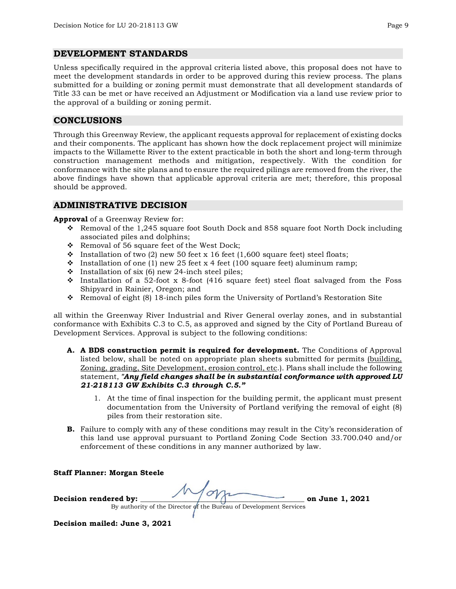### **DEVELOPMENT STANDARDS**

Unless specifically required in the approval criteria listed above, this proposal does not have to meet the development standards in order to be approved during this review process. The plans submitted for a building or zoning permit must demonstrate that all development standards of Title 33 can be met or have received an Adjustment or Modification via a land use review prior to the approval of a building or zoning permit.

## **CONCLUSIONS**

Through this Greenway Review, the applicant requests approval for replacement of existing docks and their components. The applicant has shown how the dock replacement project will minimize impacts to the Willamette River to the extent practicable in both the short and long-term through construction management methods and mitigation, respectively. With the condition for conformance with the site plans and to ensure the required pilings are removed from the river, the above findings have shown that applicable approval criteria are met; therefore, this proposal should be approved.

### **ADMINISTRATIVE DECISION**

**Approval** of a Greenway Review for:

- Removal of the 1,245 square foot South Dock and 858 square foot North Dock including associated piles and dolphins;
- \* Removal of 56 square feet of the West Dock;
- $\cdot$  Installation of two (2) new 50 feet x 16 feet (1,600 square feet) steel floats;
- Installation of one (1) new 25 feet x 4 feet (100 square feet) aluminum ramp;
- $\cdot$  Installation of six (6) new 24-inch steel piles;
- $\cdot$  Installation of a 52-foot x 8-foot (416 square feet) steel float salvaged from the Foss Shipyard in Rainier, Oregon; and
- Removal of eight (8) 18-inch piles form the University of Portland's Restoration Site

all within the Greenway River Industrial and River General overlay zones, and in substantial conformance with Exhibits C.3 to C.5, as approved and signed by the City of Portland Bureau of Development Services. Approval is subject to the following conditions:

- **A. A BDS construction permit is required for development.** The Conditions of Approval listed below, shall be noted on appropriate plan sheets submitted for permits (building, Zoning, grading, Site Development, erosion control, etc.). Plans shall include the following statement, *"Any field changes shall be in substantial conformance with approved LU 21-218113 GW Exhibits C.3 through C.5."*
	- 1. At the time of final inspection for the building permit, the applicant must present documentation from the University of Portland verifying the removal of eight (8) piles from their restoration site.
- **B.** Failure to comply with any of these conditions may result in the City's reconsideration of this land use approval pursuant to Portland Zoning Code Section 33.700.040 and/or enforcement of these conditions in any manner authorized by law.

**Staff Planner: Morgan Steele**

Decision rendered by:  $\sqrt{\frac{1}{2}}$  on June 1, 2021

By authority of the Director of the Bureau of Development Services

**Decision mailed: June 3, 2021**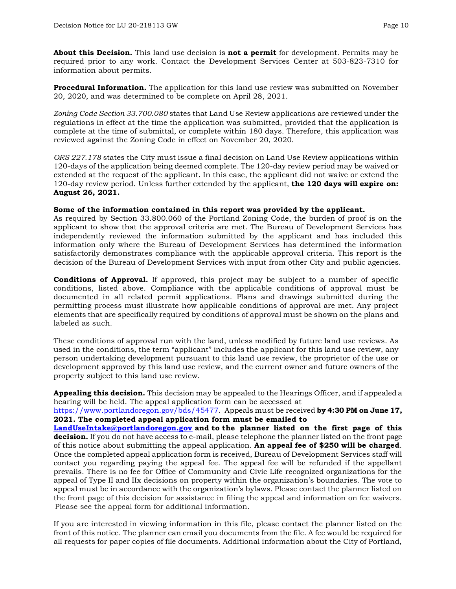**About this Decision.** This land use decision is **not a permit** for development. Permits may be required prior to any work. Contact the Development Services Center at 503-823-7310 for information about permits.

**Procedural Information.** The application for this land use review was submitted on November 20, 2020, and was determined to be complete on April 28, 2021.

*Zoning Code Section 33.700.080* states that Land Use Review applications are reviewed under the regulations in effect at the time the application was submitted, provided that the application is complete at the time of submittal, or complete within 180 days. Therefore, this application was reviewed against the Zoning Code in effect on November 20, 2020.

*ORS 227.178* states the City must issue a final decision on Land Use Review applications within 120-days of the application being deemed complete. The 120-day review period may be waived or extended at the request of the applicant. In this case, the applicant did not waive or extend the 120-day review period. Unless further extended by the applicant, **the 120 days will expire on: August 26, 2021.**

#### **Some of the information contained in this report was provided by the applicant.**

As required by Section 33.800.060 of the Portland Zoning Code, the burden of proof is on the applicant to show that the approval criteria are met. The Bureau of Development Services has independently reviewed the information submitted by the applicant and has included this information only where the Bureau of Development Services has determined the information satisfactorily demonstrates compliance with the applicable approval criteria. This report is the decision of the Bureau of Development Services with input from other City and public agencies.

**Conditions of Approval.** If approved, this project may be subject to a number of specific conditions, listed above. Compliance with the applicable conditions of approval must be documented in all related permit applications. Plans and drawings submitted during the permitting process must illustrate how applicable conditions of approval are met. Any project elements that are specifically required by conditions of approval must be shown on the plans and labeled as such.

These conditions of approval run with the land, unless modified by future land use reviews. As used in the conditions, the term "applicant" includes the applicant for this land use review, any person undertaking development pursuant to this land use review, the proprietor of the use or development approved by this land use review, and the current owner and future owners of the property subject to this land use review.

**Appealing this decision.** This decision may be appealed to the Hearings Officer, and if appealed a hearing will be held. The appeal application form can be accessed at

[https://www.portlandoregon.gov/bds/45477.](https://www.portlandoregon.gov/bds/45477) Appeals must be received **by 4:30 PM on June 17, 2021. The completed appeal application form must be emailed to**

**[LandUseIntake@portlandoregon.gov](mailto:LandUseIntake@portlandoregon.gov) and to the planner listed on the first page of this decision.** If you do not have access to e-mail, please telephone the planner listed on the front page of this notice about submitting the appeal application. **An appeal fee of \$250 will be charged**. Once the completed appeal application form is received, Bureau of Development Services staff will contact you regarding paying the appeal fee. The appeal fee will be refunded if the appellant prevails. There is no fee for Office of Community and Civic Life recognized organizations for the appeal of Type II and IIx decisions on property within the organization's boundaries. The vote to appeal must be in accordance with the organization's bylaws. Please contact the planner listed on the front page of this decision for assistance in filing the appeal and information on fee waivers. Please see the appeal form for additional information.

If you are interested in viewing information in this file, please contact the planner listed on the front of this notice. The planner can email you documents from the file. A fee would be required for all requests for paper copies of file documents. Additional information about the City of Portland,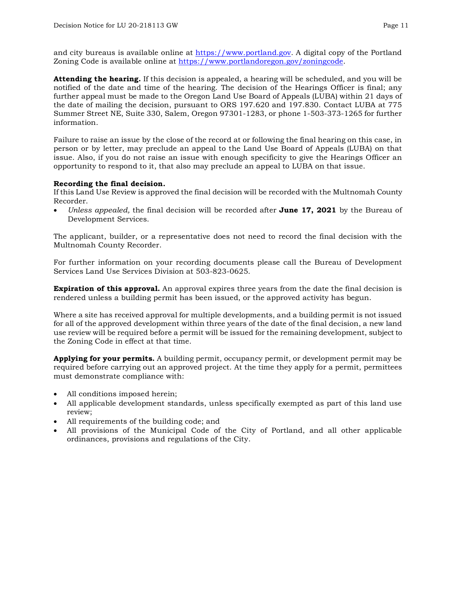and city bureaus is available online at [https://www.portland.gov.](https://www.portland.gov/) A digital copy of the Portland Zoning Code is available online at [https://www.portlandoregon.gov/zoningcode.](https://www.portlandoregon.gov/zoningcode)

**Attending the hearing.** If this decision is appealed, a hearing will be scheduled, and you will be notified of the date and time of the hearing. The decision of the Hearings Officer is final; any further appeal must be made to the Oregon Land Use Board of Appeals (LUBA) within 21 days of the date of mailing the decision, pursuant to ORS 197.620 and 197.830. Contact LUBA at 775 Summer Street NE, Suite 330, Salem, Oregon 97301-1283, or phone 1-503-373-1265 for further information.

Failure to raise an issue by the close of the record at or following the final hearing on this case, in person or by letter, may preclude an appeal to the Land Use Board of Appeals (LUBA) on that issue. Also, if you do not raise an issue with enough specificity to give the Hearings Officer an opportunity to respond to it, that also may preclude an appeal to LUBA on that issue.

#### **Recording the final decision.**

If this Land Use Review is approved the final decision will be recorded with the Multnomah County Recorder.

• *Unless appealed,* the final decision will be recorded after **June 17, 2021** by the Bureau of Development Services.

The applicant, builder, or a representative does not need to record the final decision with the Multnomah County Recorder.

For further information on your recording documents please call the Bureau of Development Services Land Use Services Division at 503-823-0625.

**Expiration of this approval.** An approval expires three years from the date the final decision is rendered unless a building permit has been issued, or the approved activity has begun.

Where a site has received approval for multiple developments, and a building permit is not issued for all of the approved development within three years of the date of the final decision, a new land use review will be required before a permit will be issued for the remaining development, subject to the Zoning Code in effect at that time.

**Applying for your permits.** A building permit, occupancy permit, or development permit may be required before carrying out an approved project. At the time they apply for a permit, permittees must demonstrate compliance with:

- All conditions imposed herein;
- All applicable development standards, unless specifically exempted as part of this land use review;
- All requirements of the building code; and
- All provisions of the Municipal Code of the City of Portland, and all other applicable ordinances, provisions and regulations of the City.